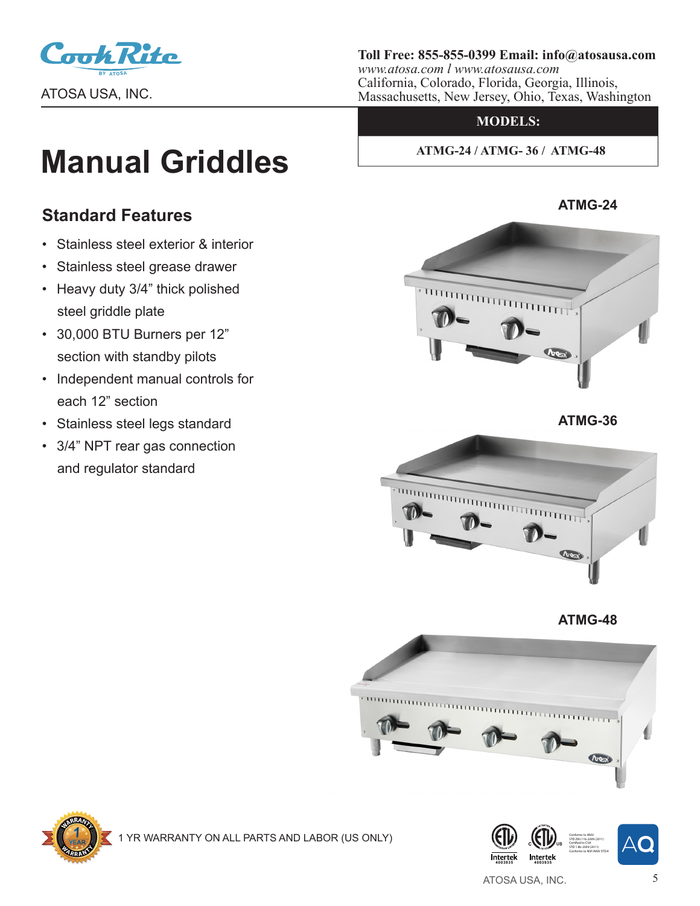

**Toll Free: 855-855-0399 Email: info@atosausa.com**

*www.atosa.com l www.atosausa.com* California, Colorado, Florida, Georgia, Illinois, Massachusetts, New Jersey, Ohio, Texas, Washington

### **MODELS:**

 **ATMG-24 / ATMG- 36 / ATMG-48**

# **Manual Griddles**

## **Standard Features**

- Stainless steel exterior & interior
- Stainless steel grease drawer
- Heavy duty 3/4" thick polished steel griddle plate
- 30,000 BTU Burners per 12" section with standby pilots
- Independent manual controls for each 12" section
- Stainless steel legs standard
- 3/4" NPT rear gas connection and regulator standard



 **ATMG-36**